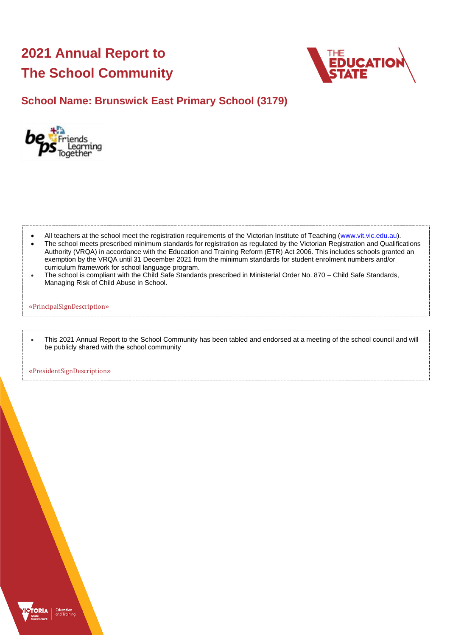# **2021 Annual Report to The School Community**



### **School Name: Brunswick East Primary School (3179)**



- All teachers at the school meet the registration requirements of the Victorian Institute of Teaching [\(www.vit.vic.edu.au\)](https://www.vit.vic.edu.au/).
- The school meets prescribed minimum standards for registration as regulated by the Victorian Registration and Qualifications Authority (VRQA) in accordance with the Education and Training Reform (ETR) Act 2006. This includes schools granted an exemption by the VRQA until 31 December 2021 from the minimum standards for student enrolment numbers and/or curriculum framework for school language program.
- The school is compliant with the Child Safe Standards prescribed in Ministerial Order No. 870 Child Safe Standards, Managing Risk of Child Abuse in School.

#### «PrincipalSignDescription»

• This 2021 Annual Report to the School Community has been tabled and endorsed at a meeting of the school council and will be publicly shared with the school community

«PresidentSignDescription»

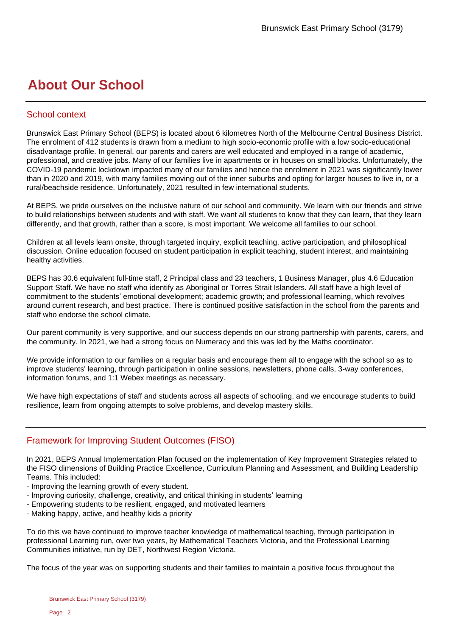## **About Our School**

#### School context

Brunswick East Primary School (BEPS) is located about 6 kilometres North of the Melbourne Central Business District. The enrolment of 412 students is drawn from a medium to high socio-economic profile with a low socio-educational disadvantage profile. In general, our parents and carers are well educated and employed in a range of academic, professional, and creative jobs. Many of our families live in apartments or in houses on small blocks. Unfortunately, the COVID-19 pandemic lockdown impacted many of our families and hence the enrolment in 2021 was significantly lower than in 2020 and 2019, with many families moving out of the inner suburbs and opting for larger houses to live in, or a rural/beachside residence. Unfortunately, 2021 resulted in few international students.

At BEPS, we pride ourselves on the inclusive nature of our school and community. We learn with our friends and strive to build relationships between students and with staff. We want all students to know that they can learn, that they learn differently, and that growth, rather than a score, is most important. We welcome all families to our school.

Children at all levels learn onsite, through targeted inquiry, explicit teaching, active participation, and philosophical discussion. Online education focused on student participation in explicit teaching, student interest, and maintaining healthy activities.

BEPS has 30.6 equivalent full-time staff, 2 Principal class and 23 teachers, 1 Business Manager, plus 4.6 Education Support Staff. We have no staff who identify as Aboriginal or Torres Strait Islanders. All staff have a high level of commitment to the students' emotional development; academic growth; and professional learning, which revolves around current research, and best practice. There is continued positive satisfaction in the school from the parents and staff who endorse the school climate.

Our parent community is very supportive, and our success depends on our strong partnership with parents, carers, and the community. In 2021, we had a strong focus on Numeracy and this was led by the Maths coordinator.

We provide information to our families on a regular basis and encourage them all to engage with the school so as to improve students' learning, through participation in online sessions, newsletters, phone calls, 3-way conferences, information forums, and 1:1 Webex meetings as necessary.

We have high expectations of staff and students across all aspects of schooling, and we encourage students to build resilience, learn from ongoing attempts to solve problems, and develop mastery skills.

#### Framework for Improving Student Outcomes (FISO)

In 2021, BEPS Annual Implementation Plan focused on the implementation of Key Improvement Strategies related to the FISO dimensions of Building Practice Excellence, Curriculum Planning and Assessment, and Building Leadership Teams. This included:

- Improving the learning growth of every student.
- Improving curiosity, challenge, creativity, and critical thinking in students' learning
- Empowering students to be resilient, engaged, and motivated learners
- Making happy, active, and healthy kids a priority

To do this we have continued to improve teacher knowledge of mathematical teaching, through participation in professional Learning run, over two years, by Mathematical Teachers Victoria, and the Professional Learning Communities initiative, run by DET, Northwest Region Victoria.

The focus of the year was on supporting students and their families to maintain a positive focus throughout the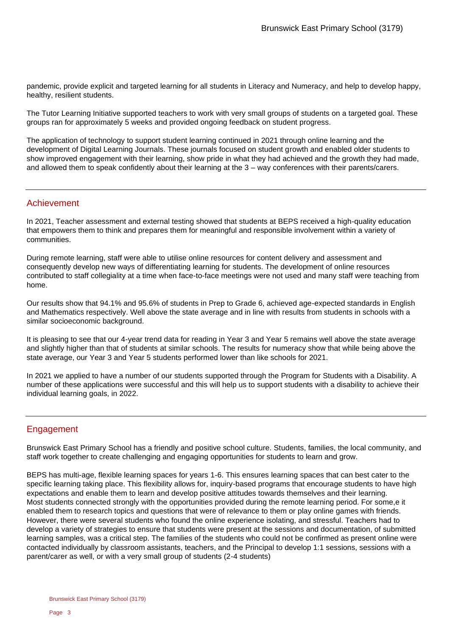pandemic, provide explicit and targeted learning for all students in Literacy and Numeracy, and help to develop happy, healthy, resilient students.

The Tutor Learning Initiative supported teachers to work with very small groups of students on a targeted goal. These groups ran for approximately 5 weeks and provided ongoing feedback on student progress.

The application of technology to support student learning continued in 2021 through online learning and the development of Digital Learning Journals. These journals focused on student growth and enabled older students to show improved engagement with their learning, show pride in what they had achieved and the growth they had made, and allowed them to speak confidently about their learning at the 3 – way conferences with their parents/carers.

#### Achievement

In 2021, Teacher assessment and external testing showed that students at BEPS received a high-quality education that empowers them to think and prepares them for meaningful and responsible involvement within a variety of communities.

During remote learning, staff were able to utilise online resources for content delivery and assessment and consequently develop new ways of differentiating learning for students. The development of online resources contributed to staff collegiality at a time when face-to-face meetings were not used and many staff were teaching from home.

Our results show that 94.1% and 95.6% of students in Prep to Grade 6, achieved age-expected standards in English and Mathematics respectively. Well above the state average and in line with results from students in schools with a similar socioeconomic background.

It is pleasing to see that our 4-year trend data for reading in Year 3 and Year 5 remains well above the state average and slightly higher than that of students at similar schools. The results for numeracy show that while being above the state average, our Year 3 and Year 5 students performed lower than like schools for 2021.

In 2021 we applied to have a number of our students supported through the Program for Students with a Disability. A number of these applications were successful and this will help us to support students with a disability to achieve their individual learning goals, in 2022.

#### Engagement

Brunswick East Primary School has a friendly and positive school culture. Students, families, the local community, and staff work together to create challenging and engaging opportunities for students to learn and grow.

BEPS has multi-age, flexible learning spaces for years 1-6. This ensures learning spaces that can best cater to the specific learning taking place. This flexibility allows for, inquiry-based programs that encourage students to have high expectations and enable them to learn and develop positive attitudes towards themselves and their learning. Most students connected strongly with the opportunities provided during the remote learning period. For some,e it enabled them to research topics and questions that were of relevance to them or play online games with friends. However, there were several students who found the online experience isolating, and stressful. Teachers had to develop a variety of strategies to ensure that students were present at the sessions and documentation, of submitted learning samples, was a critical step. The families of the students who could not be confirmed as present online were contacted individually by classroom assistants, teachers, and the Principal to develop 1:1 sessions, sessions with a parent/carer as well, or with a very small group of students (2-4 students)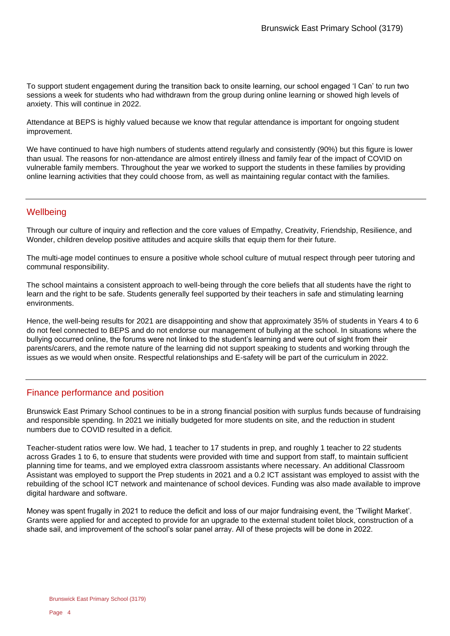To support student engagement during the transition back to onsite learning, our school engaged 'I Can' to run two sessions a week for students who had withdrawn from the group during online learning or showed high levels of anxiety. This will continue in 2022.

Attendance at BEPS is highly valued because we know that regular attendance is important for ongoing student improvement.

We have continued to have high numbers of students attend regularly and consistently (90%) but this figure is lower than usual. The reasons for non-attendance are almost entirely illness and family fear of the impact of COVID on vulnerable family members. Throughout the year we worked to support the students in these families by providing online learning activities that they could choose from, as well as maintaining regular contact with the families.

#### **Wellbeing**

Through our culture of inquiry and reflection and the core values of Empathy, Creativity, Friendship, Resilience, and Wonder, children develop positive attitudes and acquire skills that equip them for their future.

The multi-age model continues to ensure a positive whole school culture of mutual respect through peer tutoring and communal responsibility.

The school maintains a consistent approach to well-being through the core beliefs that all students have the right to learn and the right to be safe. Students generally feel supported by their teachers in safe and stimulating learning environments.

Hence, the well-being results for 2021 are disappointing and show that approximately 35% of students in Years 4 to 6 do not feel connected to BEPS and do not endorse our management of bullying at the school. In situations where the bullying occurred online, the forums were not linked to the student's learning and were out of sight from their parents/carers, and the remote nature of the learning did not support speaking to students and working through the issues as we would when onsite. Respectful relationships and E-safety will be part of the curriculum in 2022.

#### Finance performance and position

Brunswick East Primary School continues to be in a strong financial position with surplus funds because of fundraising and responsible spending. In 2021 we initially budgeted for more students on site, and the reduction in student numbers due to COVID resulted in a deficit.

Teacher-student ratios were low. We had, 1 teacher to 17 students in prep, and roughly 1 teacher to 22 students across Grades 1 to 6, to ensure that students were provided with time and support from staff, to maintain sufficient planning time for teams, and we employed extra classroom assistants where necessary. An additional Classroom Assistant was employed to support the Prep students in 2021 and a 0.2 ICT assistant was employed to assist with the rebuilding of the school ICT network and maintenance of school devices. Funding was also made available to improve digital hardware and software.

Money was spent frugally in 2021 to reduce the deficit and loss of our major fundraising event, the 'Twilight Market'. Grants were applied for and accepted to provide for an upgrade to the external student toilet block, construction of a shade sail, and improvement of the school's solar panel array. All of these projects will be done in 2022.